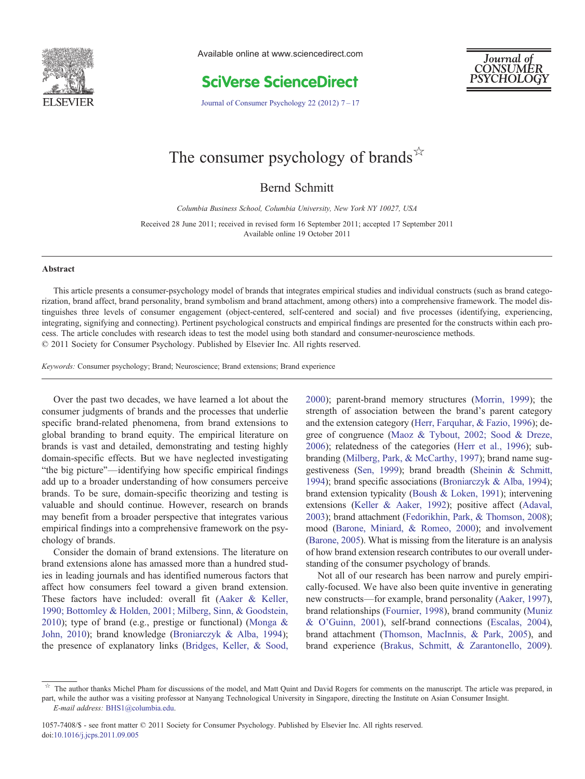

Available online at www.sciencedirect.com

**SciVerse ScienceDirect** 



[Journal of Consumer Psychology 22 \(2012\) 7](http://dx.doi.org/10.1016/j.jcps.2011.09.005)–17

# The consumer psychology of brands $\hat{X}$

Bernd Schmitt

Columbia Business School, Columbia University, New York NY 10027, USA

Received 28 June 2011; received in revised form 16 September 2011; accepted 17 September 2011 Available online 19 October 2011

#### Abstract

This article presents a consumer-psychology model of brands that integrates empirical studies and individual constructs (such as brand categorization, brand affect, brand personality, brand symbolism and brand attachment, among others) into a comprehensive framework. The model distinguishes three levels of consumer engagement (object-centered, self-centered and social) and five processes (identifying, experiencing, integrating, signifying and connecting). Pertinent psychological constructs and empirical findings are presented for the constructs within each process. The article concludes with research ideas to test the model using both standard and consumer-neuroscience methods. © 2011 Society for Consumer Psychology. Published by Elsevier Inc. All rights reserved.

Keywords: Consumer psychology; Brand; Neuroscience; Brand extensions; Brand experience

Over the past two decades, we have learned a lot about the consumer judgments of brands and the processes that underlie specific brand-related phenomena, from brand extensions to global branding to brand equity. The empirical literature on brands is vast and detailed, demonstrating and testing highly domain-specific effects. But we have neglected investigating "the big picture"—identifying how specific empirical findings add up to a broader understanding of how consumers perceive brands. To be sure, domain-specific theorizing and testing is valuable and should continue. However, research on brands may benefit from a broader perspective that integrates various empirical findings into a comprehensive framework on the psychology of brands.

Consider the domain of brand extensions. The literature on brand extensions alone has amassed more than a hundred studies in leading journals and has identified numerous factors that affect how consumers feel toward a given brand extension. These factors have included: overall fit ([Aaker & Keller,](#page--1-0) [1990; Bottomley & Holden, 2001; Milberg, Sinn, & Goodstein,](#page--1-0) [2010](#page--1-0)); type of brand (e.g., prestige or functional) ([Monga &](#page--1-0) [John, 2010](#page--1-0)); brand knowledge [\(Broniarczyk & Alba, 1994\)](#page--1-0); the presence of explanatory links [\(Bridges, Keller, & Sood,](#page--1-0) [2000](#page--1-0)); parent-brand memory structures ([Morrin, 1999](#page--1-0)); the strength of association between the brand's parent category and the extension category [\(Herr, Farquhar, & Fazio, 1996\)](#page--1-0); degree of congruence [\(Maoz & Tybout, 2002; Sood & Dreze,](#page--1-0) [2006](#page--1-0)); relatedness of the categories ([Herr et al., 1996](#page--1-0)); subbranding ([Milberg, Park, & McCarthy, 1997\)](#page--1-0); brand name suggestiveness [\(Sen, 1999\)](#page--1-0); brand breadth [\(Sheinin & Schmitt,](#page--1-0) [1994](#page--1-0)); brand specific associations [\(Broniarczyk & Alba, 1994\)](#page--1-0); brand extension typicality [\(Boush & Loken, 1991](#page--1-0)); intervening extensions [\(Keller & Aaker, 1992\)](#page--1-0); positive affect [\(Adaval,](#page--1-0) [2003](#page--1-0)); brand attachment [\(Fedorikhin, Park, & Thomson, 2008\)](#page--1-0); mood [\(Barone, Miniard, & Romeo, 2000](#page--1-0)); and involvement ([Barone, 2005](#page--1-0)). What is missing from the literature is an analysis of how brand extension research contributes to our overall understanding of the consumer psychology of brands.

Not all of our research has been narrow and purely empirically-focused. We have also been quite inventive in generating new constructs—for example, brand personality ([Aaker, 1997\)](#page--1-0), brand relationships ([Fournier, 1998](#page--1-0)), brand community ([Muniz](#page--1-0) [& O'Guinn, 2001](#page--1-0)), self-brand connections ([Escalas, 2004\)](#page--1-0), brand attachment [\(Thomson, MacInnis, & Park, 2005\)](#page--1-0), and brand experience ([Brakus, Schmitt, & Zarantonello, 2009\)](#page--1-0).

The author thanks Michel Pham for discussions of the model, and Matt Quint and David Rogers for comments on the manuscript. The article was prepared, in part, while the author was a visiting professor at Nanyang Technological University in Singapore, directing the Institute on Asian Consumer Insight. E-mail address: [BHS1@columbia.edu](mailto:BHS1@columbia.edu).

<sup>1057-7408/\$ -</sup> see front matter © 2011 Society for Consumer Psychology. Published by Elsevier Inc. All rights reserved. doi:[10.1016/j.jcps.2011.09.005](http://dx.doi.org/10.1016/j.jcps.2011.09.005)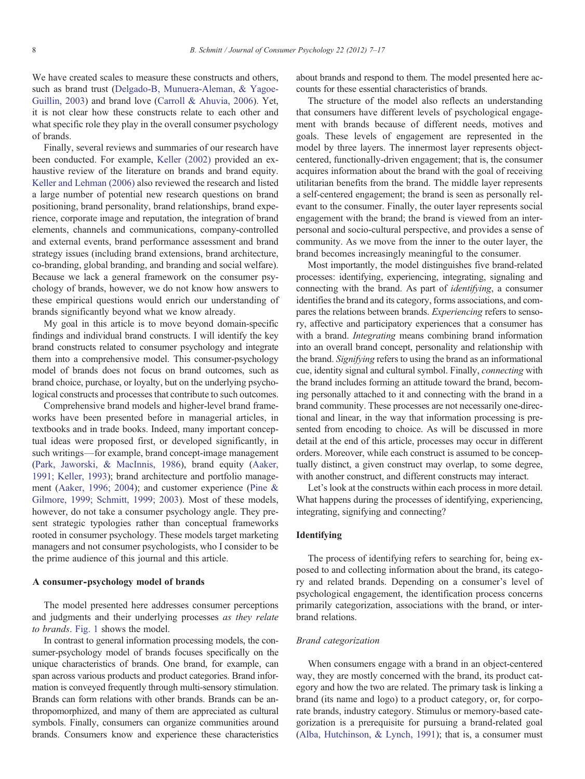We have created scales to measure these constructs and others, such as brand trust [\(Delgado-B, Munuera-Aleman, & Yagoe-](#page--1-0)[Guillin, 2003\)](#page--1-0) and brand love [\(Carroll & Ahuvia, 2006\)](#page--1-0). Yet, it is not clear how these constructs relate to each other and what specific role they play in the overall consumer psychology of brands.

Finally, several reviews and summaries of our research have been conducted. For example, [Keller \(2002\)](#page--1-0) provided an exhaustive review of the literature on brands and brand equity. [Keller and Lehman \(2006\)](#page--1-0) also reviewed the research and listed a large number of potential new research questions on brand positioning, brand personality, brand relationships, brand experience, corporate image and reputation, the integration of brand elements, channels and communications, company-controlled and external events, brand performance assessment and brand strategy issues (including brand extensions, brand architecture, co-branding, global branding, and branding and social welfare). Because we lack a general framework on the consumer psychology of brands, however, we do not know how answers to these empirical questions would enrich our understanding of brands significantly beyond what we know already.

My goal in this article is to move beyond domain-specific findings and individual brand constructs. I will identify the key brand constructs related to consumer psychology and integrate them into a comprehensive model. This consumer-psychology model of brands does not focus on brand outcomes, such as brand choice, purchase, or loyalty, but on the underlying psychological constructs and processes that contribute to such outcomes.

Comprehensive brand models and higher-level brand frameworks have been presented before in managerial articles, in textbooks and in trade books. Indeed, many important conceptual ideas were proposed first, or developed significantly, in such writings—for example, brand concept-image management ([Park, Jaworski, & MacInnis, 1986](#page--1-0)), brand equity [\(Aaker,](#page--1-0) [1991; Keller, 1993](#page--1-0)); brand architecture and portfolio management ([Aaker, 1996; 2004\)](#page--1-0); and customer experience ([Pine &](#page--1-0) [Gilmore, 1999; Schmitt, 1999; 2003](#page--1-0)). Most of these models, however, do not take a consumer psychology angle. They present strategic typologies rather than conceptual frameworks rooted in consumer psychology. These models target marketing managers and not consumer psychologists, who I consider to be the prime audience of this journal and this article.

#### A consumer-psychology model of brands

The model presented here addresses consumer perceptions and judgments and their underlying processes as they relate to brands. [Fig. 1](#page--1-0) shows the model.

In contrast to general information processing models, the consumer-psychology model of brands focuses specifically on the unique characteristics of brands. One brand, for example, can span across various products and product categories. Brand information is conveyed frequently through multi-sensory stimulation. Brands can form relations with other brands. Brands can be anthropomorphized, and many of them are appreciated as cultural symbols. Finally, consumers can organize communities around brands. Consumers know and experience these characteristics

about brands and respond to them. The model presented here accounts for these essential characteristics of brands.

The structure of the model also reflects an understanding that consumers have different levels of psychological engagement with brands because of different needs, motives and goals. These levels of engagement are represented in the model by three layers. The innermost layer represents objectcentered, functionally-driven engagement; that is, the consumer acquires information about the brand with the goal of receiving utilitarian benefits from the brand. The middle layer represents a self-centered engagement; the brand is seen as personally relevant to the consumer. Finally, the outer layer represents social engagement with the brand; the brand is viewed from an interpersonal and socio-cultural perspective, and provides a sense of community. As we move from the inner to the outer layer, the brand becomes increasingly meaningful to the consumer.

Most importantly, the model distinguishes five brand-related processes: identifying, experiencing, integrating, signaling and connecting with the brand. As part of identifying, a consumer identifies the brand and its category, forms associations, and compares the relations between brands. Experiencing refers to sensory, affective and participatory experiences that a consumer has with a brand. Integrating means combining brand information into an overall brand concept, personality and relationship with the brand. Signifying refers to using the brand as an informational cue, identity signal and cultural symbol. Finally, connecting with the brand includes forming an attitude toward the brand, becoming personally attached to it and connecting with the brand in a brand community. These processes are not necessarily one-directional and linear, in the way that information processing is presented from encoding to choice. As will be discussed in more detail at the end of this article, processes may occur in different orders. Moreover, while each construct is assumed to be conceptually distinct, a given construct may overlap, to some degree, with another construct, and different constructs may interact.

Let's look at the constructs within each process in more detail. What happens during the processes of identifying, experiencing, integrating, signifying and connecting?

### Identifying

The process of identifying refers to searching for, being exposed to and collecting information about the brand, its category and related brands. Depending on a consumer's level of psychological engagement, the identification process concerns primarily categorization, associations with the brand, or interbrand relations.

#### Brand categorization

When consumers engage with a brand in an object-centered way, they are mostly concerned with the brand, its product category and how the two are related. The primary task is linking a brand (its name and logo) to a product category, or, for corporate brands, industry category. Stimulus or memory-based categorization is a prerequisite for pursuing a brand-related goal ([Alba, Hutchinson, & Lynch, 1991\)](#page--1-0); that is, a consumer must